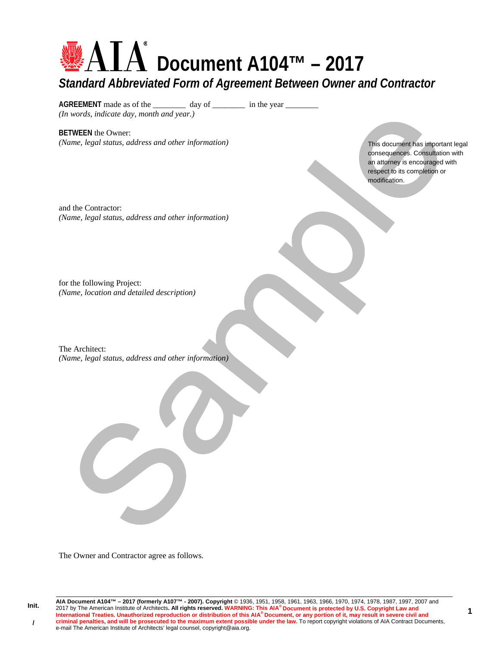# **<u><sup>■</mark></sup> AIA<sup>®</sup> Document A104™ – 2017</u>** *Standard Abbreviated Form of Agreement Between Owner and Contractor*

AGREEMENT made as of the \_\_\_\_\_\_\_\_ day of \_\_\_\_\_\_\_ in the year \_\_\_\_\_\_\_\_ *(In words, indicate day, month and year.)* 

**BETWEEN** the Owner: *(Name, legal status, address and other information)* 

This document has important legal consequences. Consultation with an attorney is encouraged with respect to its completion or modification.

and the Contractor: *(Name, legal status, address and other information)* 

for the following Project: *(Name, location and detailed description)* 

The Architect: *(Name, legal status, address and other information)* 

The Owner and Contractor agree as follows.

**/**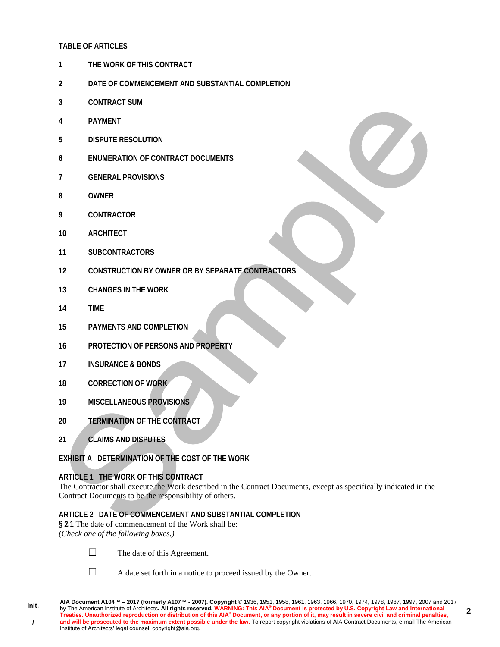# **TABLE OF ARTICLES**

- **1 THE WORK OF THIS CONTRACT**
- **2 DATE OF COMMENCEMENT AND SUBSTANTIAL COMPLETION**
- **3 CONTRACT SUM**
- **4 PAYMENT**
- **5 DISPUTE RESOLUTION**
- **6 ENUMERATION OF CONTRACT DOCUMENTS**
- **7 GENERAL PROVISIONS**
- **8 OWNER**
- **9 CONTRACTOR**
- **10 ARCHITECT**
- **11 SUBCONTRACTORS**
- **12 CONSTRUCTION BY OWNER OR BY SEPARATE CONTRACTORS**
- **13 CHANGES IN THE WORK**
- **14 TIME**
- **15 PAYMENTS AND COMPLETION**
- **16 PROTECTION OF PERSONS AND PROPERTY**
- **17 INSURANCE & BONDS**
- **18 CORRECTION OF WORK**
- **19 MISCELLANEOUS PROVISIONS**
- **20 TERMINATION OF THE CONTRACT**
- **21 CLAIMS AND DISPUTES**

# **EXHIBIT A DETERMINATION OF THE COST OF THE WORK**

# **ARTICLE 1 THE WORK OF THIS CONTRACT**

The Contractor shall execute the Work described in the Contract Documents, except as specifically indicated in the Contract Documents to be the responsibility of others.

# **ARTICLE 2 DATE OF COMMENCEMENT AND SUBSTANTIAL COMPLETION**

**§ 2.1** The date of commencement of the Work shall be: *(Check one of the following boxes.)* 

- $\Box$  The date of this Agreement.
- $\Box$  A date set forth in a notice to proceed issued by the Owner.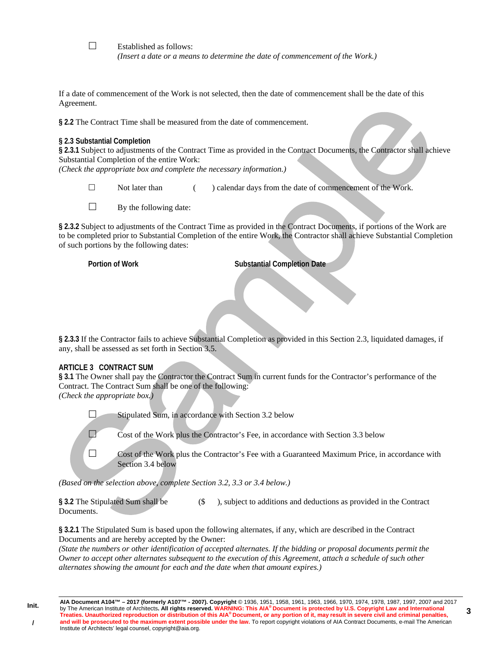

 $\square$  Established as follows: *(Insert a date or a means to determine the date of commencement of the Work.)* 

If a date of commencement of the Work is not selected, then the date of commencement shall be the date of this Agreement.

**§ 2.2** The Contract Time shall be measured from the date of commencement.

# **§ 2.3 Substantial Completion**

**§ 2.3.1** Subject to adjustments of the Contract Time as provided in the Contract Documents, the Contractor shall achieve Substantial Completion of the entire Work:

*(Check the appropriate box and complete the necessary information.)* 

 $\Box$  Not later than  $\Box$  calendar days from the date of commencement of the Work.

 $\Box$  By the following date:

**§ 2.3.2** Subject to adjustments of the Contract Time as provided in the Contract Documents, if portions of the Work are to be completed prior to Substantial Completion of the entire Work, the Contractor shall achieve Substantial Completion of such portions by the following dates:

**Portion of Work Completion Date Completion Date** 

**§ 2.3.3** If the Contractor fails to achieve Substantial Completion as provided in this Section 2.3, liquidated damages, if any, shall be assessed as set forth in Section 3.5.

# **ARTICLE 3 CONTRACT SUM**

**§ 3.1** The Owner shall pay the Contractor the Contract Sum in current funds for the Contractor's performance of the Contract. The Contract Sum shall be one of the following:

*(Check the appropriate box.)* 

Stipulated Sum, in accordance with Section 3.2 below

Cost of the Work plus the Contractor's Fee, in accordance with Section 3.3 below

 Cost of the Work plus the Contractor's Fee with a Guaranteed Maximum Price, in accordance with Section 3.4 below

*(Based on the selection above, complete Section 3.2, 3.3 or 3.4 below.)* 

**§ 3.2** The Stipulated Sum shall be (\$ ), subject to additions and deductions as provided in the Contract Documents.

**§ 3.2.1** The Stipulated Sum is based upon the following alternates, if any, which are described in the Contract Documents and are hereby accepted by the Owner:

*(State the numbers or other identification of accepted alternates. If the bidding or proposal documents permit the Owner to accept other alternates subsequent to the execution of this Agreement, attach a schedule of such other alternates showing the amount for each and the date when that amount expires.)* 

**3**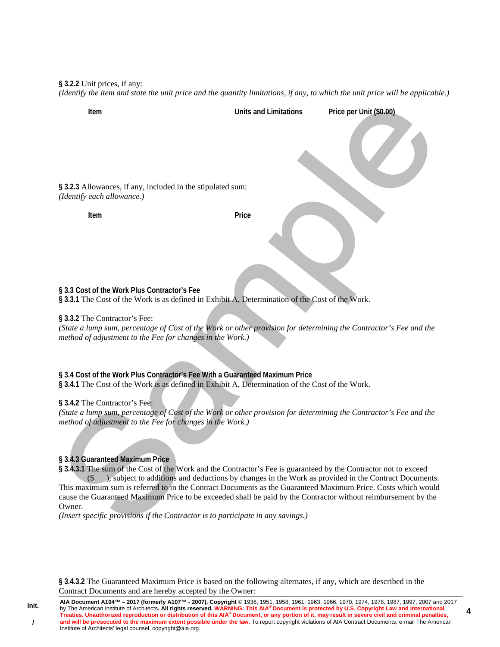#### **§ 3.2.2** Unit prices, if any:

*(Identify the item and state the unit price and the quantity limitations, if any, to which the unit price will be applicable.)* 

| Item                                                                                                                                                                           | <b>Units and Limitations</b> | Price per Unit (\$0.00) |  |
|--------------------------------------------------------------------------------------------------------------------------------------------------------------------------------|------------------------------|-------------------------|--|
|                                                                                                                                                                                |                              |                         |  |
| § 3.2.3 Allowances, if any, included in the stipulated sum:<br>(Identify each allowance.)                                                                                      |                              |                         |  |
| Item                                                                                                                                                                           | Price                        |                         |  |
|                                                                                                                                                                                |                              |                         |  |
| § 3.3 Cost of the Work Plus Contractor's Fee                                                                                                                                   |                              |                         |  |
| § 3.3.1 The Cost of the Work is as defined in Exhibit A, Determination of the Cost of the Work.                                                                                |                              |                         |  |
| § 3.3.2 The Contractor's Fee:                                                                                                                                                  |                              |                         |  |
| (State a lump sum, percentage of Cost of the Work or other provision for determining the Contractor's Fee and the<br>method of adjustment to the Fee for changes in the Work.) |                              |                         |  |

# **§ 3.4 Cost of the Work Plus Contractor's Fee With a Guaranteed Maximum Price**

**§ 3.4.1** The Cost of the Work is as defined in Exhibit A, Determination of the Cost of the Work.

#### **§ 3.4.2** The Contractor's Fee:

*(State a lump sum, percentage of Cost of the Work or other provision for determining the Contractor's Fee and the method of adjustment to the Fee for changes in the Work.)* 

#### **§ 3.4.3 Guaranteed Maximum Price**

**§ 3.4.3.1** The sum of the Cost of the Work and the Contractor's Fee is guaranteed by the Contractor not to exceed (\$ ), subject to additions and deductions by changes in the Work as provided in the Contract Documents. This maximum sum is referred to in the Contract Documents as the Guaranteed Maximum Price. Costs which would cause the Guaranteed Maximum Price to be exceeded shall be paid by the Contractor without reimbursement by the Owner.

*(Insert specific provisions if the Contractor is to participate in any savings.)* 

**§ 3.4.3.2** The Guaranteed Maximum Price is based on the following alternates, if any, which are described in the Contract Documents and are hereby accepted by the Owner:

**4**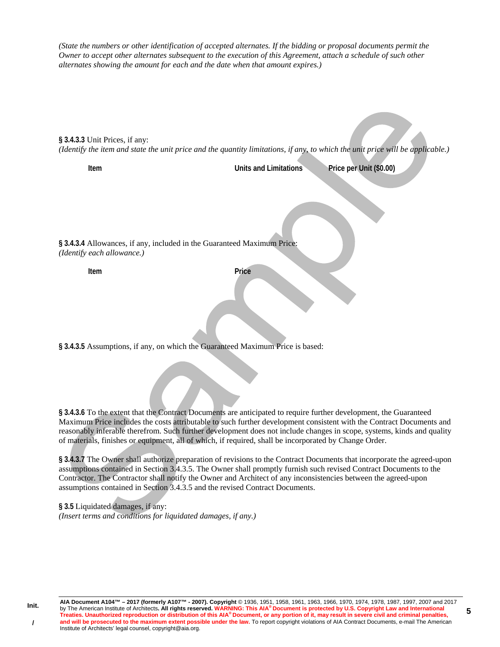*(State the numbers or other identification of accepted alternates. If the bidding or proposal documents permit the Owner to accept other alternates subsequent to the execution of this Agreement, attach a schedule of such other alternates showing the amount for each and the date when that amount expires.)* 

**§ 3.4.3.3** Unit Prices, if any:

*(Identify the item and state the unit price and the quantity limitations, if any, to which the unit price will be applicable.)* 

| Item                       | Price per Unit (\$0.00)<br><b>Units and Limitations</b>                 |  |
|----------------------------|-------------------------------------------------------------------------|--|
|                            |                                                                         |  |
|                            |                                                                         |  |
| (Identify each allowance.) | § 3.4.3.4 Allowances, if any, included in the Guaranteed Maximum Price: |  |
| Item                       | Price                                                                   |  |
|                            |                                                                         |  |

**§ 3.4.3.5** Assumptions, if any, on which the Guaranteed Maximum Price is based:

**§ 3.4.3.6** To the extent that the Contract Documents are anticipated to require further development, the Guaranteed Maximum Price includes the costs attributable to such further development consistent with the Contract Documents and reasonably inferable therefrom. Such further development does not include changes in scope, systems, kinds and quality of materials, finishes or equipment, all of which, if required, shall be incorporated by Change Order.

**§ 3.4.3.7** The Owner shall authorize preparation of revisions to the Contract Documents that incorporate the agreed-upon assumptions contained in Section 3.4.3.5. The Owner shall promptly furnish such revised Contract Documents to the Contractor. The Contractor shall notify the Owner and Architect of any inconsistencies between the agreed-upon assumptions contained in Section 3.4.3.5 and the revised Contract Documents.

**§ 3.5** Liquidated damages, if any: *(Insert terms and conditions for liquidated damages, if any.)* 

**/** 

**AIA Document A104™ – 2017 (formerly A107™ - 2007). Copyright** © 1936, 1951, 1958, 1961, 1963, 1966, 1970, 1974, 1978, 1987, 1997, 2007 and 2017 by The American Institute of Architects**. All rights reserved. WARNING: This AIA® Document is protected by U.S. Copyright Law and International Treaties. Unauthorized reproduction or distribution of this AIA® Document, or any portion of it, may result in severe civil and criminal penalties, and will be prosecuted to the maximum extent possible under the law.** To report copyright violations of AIA Contract Documents, e-mail The American Institute of Architects' legal counsel, copyright@aia.org.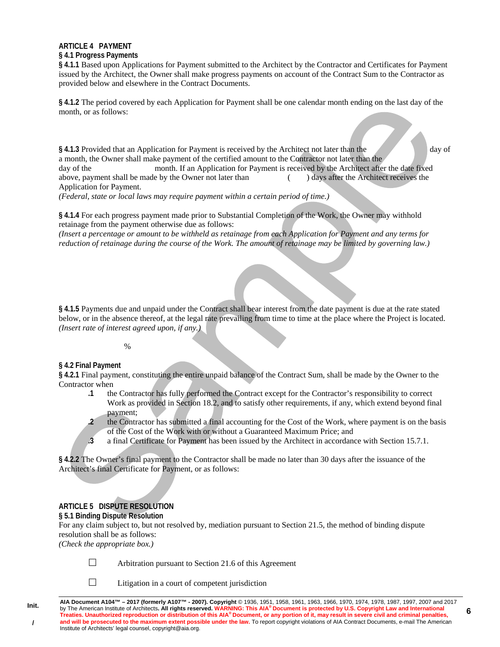# **ARTICLE 4 PAYMENT**

#### **§ 4.1 Progress Payments**

**§ 4.1.1** Based upon Applications for Payment submitted to the Architect by the Contractor and Certificates for Payment issued by the Architect, the Owner shall make progress payments on account of the Contract Sum to the Contractor as provided below and elsewhere in the Contract Documents.

**§ 4.1.2** The period covered by each Application for Payment shall be one calendar month ending on the last day of the month, or as follows:

**§ 4.1.3** Provided that an Application for Payment is received by the Architect not later than the day of a month, the Owner shall make payment of the certified amount to the Contractor not later than the day of the month. If an Application for Payment is received by the Architect after the date fixed above, payment shall be made by the Owner not later than ( ) days after the Architect receives the Application for Payment.

*(Federal, state or local laws may require payment within a certain period of time.)* 

**§ 4.1.4** For each progress payment made prior to Substantial Completion of the Work, the Owner may withhold retainage from the payment otherwise due as follows:

*(Insert a percentage or amount to be withheld as retainage from each Application for Payment and any terms for reduction of retainage during the course of the Work. The amount of retainage may be limited by governing law.)* 

**§ 4.1.5** Payments due and unpaid under the Contract shall bear interest from the date payment is due at the rate stated below, or in the absence thereof, at the legal rate prevailing from time to time at the place where the Project is located. *(Insert rate of interest agreed upon, if any.)* 

%

# **§ 4.2 Final Payment**

**§ 4.2.1** Final payment, constituting the entire unpaid balance of the Contract Sum, shall be made by the Owner to the Contractor when

- **.1** the Contractor has fully performed the Contract except for the Contractor's responsibility to correct Work as provided in Section 18.2, and to satisfy other requirements, if any, which extend beyond final payment;
- **.2** the Contractor has submitted a final accounting for the Cost of the Work, where payment is on the basis of the Cost of the Work with or without a Guaranteed Maximum Price; and
- **.3** a final Certificate for Payment has been issued by the Architect in accordance with Section 15.7.1.

**§ 4.2.2** The Owner's final payment to the Contractor shall be made no later than 30 days after the issuance of the Architect's final Certificate for Payment, or as follows:

# **ARTICLE 5 DISPUTE RESOLUTION**

# **§ 5.1 Binding Dispute Resolution**

For any claim subject to, but not resolved by, mediation pursuant to Section 21.5, the method of binding dispute resolution shall be as follows:

*(Check the appropriate box.)* 

- $\Box$  Arbitration pursuant to Section 21.6 of this Agreement
- $\Box$  Litigation in a court of competent jurisdiction

**AIA Document A104™ – 2017 (formerly A107™ - 2007). Copyright** © 1936, 1951, 1958, 1961, 1963, 1966, 1970, 1974, 1978, 1987, 1997, 2007 and 2017 by The American Institute of Architects**. All rights reserved. WARNING: This AIA® Document is protected by U.S. Copyright Law and International Treaties. Unauthorized reproduction or distribution of this AIA® Document, or any portion of it, may result in severe civil and criminal penalties, and will be prosecuted to the maximum extent possible under the law.** To report copyright violations of AIA Contract Documents, e-mail The American Institute of Architects' legal counsel, copyright@aia.org.

**6**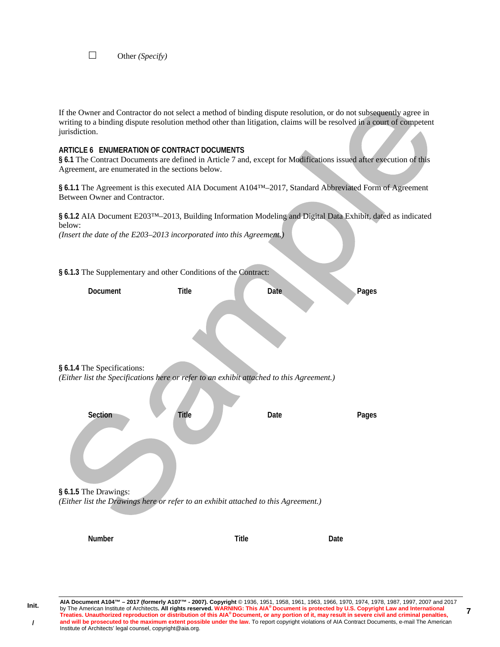|  | Other (Specify) |
|--|-----------------|
|--|-----------------|

If the Owner and Contractor do not select a method of binding dispute resolution, or do not subsequently agree in writing to a binding dispute resolution method other than litigation, claims will be resolved in a court of competent jurisdiction.

#### **ARTICLE 6 ENUMERATION OF CONTRACT DOCUMENTS**

**§ 6.1** The Contract Documents are defined in Article 7 and, except for Modifications issued after execution of this Agreement, are enumerated in the sections below.

§ 6.1.1 The Agreement is this executed AIA Document A104<sup>™–2017</sup>, Standard Abbreviated Form of Agreement Between Owner and Contractor.

§ 6.1.2 AIA Document E203™–2013, Building Information Modeling and Digital Data Exhibit, dated as indicated below:

*(Insert the date of the E203–2013 incorporated into this Agreement.)* 

#### **§ 6.1.3** The Supplementary and other Conditions of the Contract:

| Document                                                                                                    | <b>Title</b> | Date         | Pages |
|-------------------------------------------------------------------------------------------------------------|--------------|--------------|-------|
|                                                                                                             |              |              |       |
| § 6.1.4 The Specifications:                                                                                 |              |              |       |
| (Either list the Specifications here or refer to an exhibit attached to this Agreement.)                    |              |              |       |
| Section                                                                                                     | <b>Title</b> | Date         | Pages |
| § 6.1.5 The Drawings:<br>(Either list the Drawings here or refer to an exhibit attached to this Agreement.) |              |              |       |
| Number                                                                                                      |              | <b>Title</b> | Date  |

**/** 

**AIA Document A104™ – 2017 (formerly A107™ - 2007). Copyright** © 1936, 1951, 1958, 1961, 1963, 1966, 1970, 1974, 1978, 1987, 1997, 2007 and 2017 by The American Institute of Architects**. All rights reserved. WARNING: This AIA® Document is protected by U.S. Copyright Law and International Treaties. Unauthorized reproduction or distribution of this AIA® Document, or any portion of it, may result in severe civil and criminal penalties, and will be prosecuted to the maximum extent possible under the law.** To report copyright violations of AIA Contract Documents, e-mail The American Institute of Architects' legal counsel, copyright@aia.org.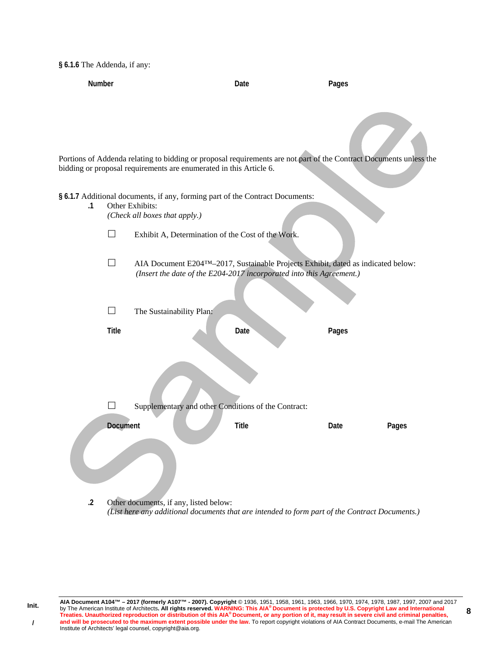**§ 6.1.6** The Addenda, if any:

| $30.1.0$ The Addenda, it any. |              |                                                                                                                                                                                          |                  |       |       |
|-------------------------------|--------------|------------------------------------------------------------------------------------------------------------------------------------------------------------------------------------------|------------------|-------|-------|
| Number                        |              |                                                                                                                                                                                          | Date             | Pages |       |
|                               |              | Portions of Addenda relating to bidding or proposal requirements are not part of the Contract Documents unless the<br>bidding or proposal requirements are enumerated in this Article 6. |                  |       |       |
| .1                            |              | § 6.1.7 Additional documents, if any, forming part of the Contract Documents:<br>Other Exhibits:                                                                                         |                  |       |       |
|                               |              | (Check all boxes that apply.)                                                                                                                                                            |                  |       |       |
|                               | $\Box$       | Exhibit A, Determination of the Cost of the Work.                                                                                                                                        |                  |       |       |
|                               | $\Box$       | AIA Document E204 <sup>TM</sup> -2017, Sustainable Projects Exhibit, dated as indicated below:<br>(Insert the date of the E204-2017 incorporated into this Agreement.)                   |                  |       |       |
|                               | $\Box$       | The Sustainability Plan:                                                                                                                                                                 |                  |       |       |
|                               | <b>Title</b> |                                                                                                                                                                                          | Date <sup></sup> | Pages |       |
|                               | $\Box$       | Supplementary and other Conditions of the Contract:                                                                                                                                      |                  |       |       |
|                               | Document     |                                                                                                                                                                                          | <b>Title</b>     | Date  | Pages |
|                               |              |                                                                                                                                                                                          |                  |       |       |

**.2** Other documents, if any, listed below: *(List here any additional documents that are intended to form part of the Contract Documents.)*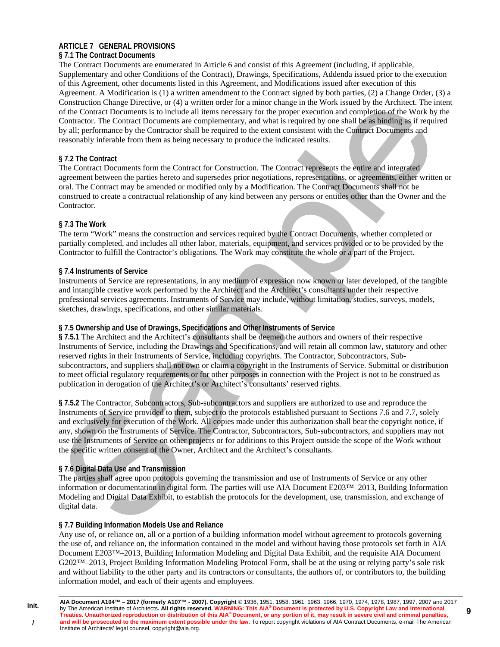# **ARTICLE 7 GENERAL PROVISIONS**

#### **§ 7.1 The Contract Documents**

The Contract Documents are enumerated in Article 6 and consist of this Agreement (including, if applicable, Supplementary and other Conditions of the Contract), Drawings, Specifications, Addenda issued prior to the execution of this Agreement, other documents listed in this Agreement, and Modifications issued after execution of this Agreement. A Modification is (1) a written amendment to the Contract signed by both parties, (2) a Change Order, (3) a Construction Change Directive, or (4) a written order for a minor change in the Work issued by the Architect. The intent of the Contract Documents is to include all items necessary for the proper execution and completion of the Work by the Contractor. The Contract Documents are complementary, and what is required by one shall be as binding as if required by all; performance by the Contractor shall be required to the extent consistent with the Contract Documents and reasonably inferable from them as being necessary to produce the indicated results.

#### **§ 7.2 The Contract**

The Contract Documents form the Contract for Construction. The Contract represents the entire and integrated agreement between the parties hereto and supersedes prior negotiations, representations, or agreements, either written or oral. The Contract may be amended or modified only by a Modification. The Contract Documents shall not be construed to create a contractual relationship of any kind between any persons or entities other than the Owner and the Contractor.

# **§ 7.3 The Work**

The term "Work" means the construction and services required by the Contract Documents, whether completed or partially completed, and includes all other labor, materials, equipment, and services provided or to be provided by the Contractor to fulfill the Contractor's obligations. The Work may constitute the whole or a part of the Project.

#### **§ 7.4 Instruments of Service**

Instruments of Service are representations, in any medium of expression now known or later developed, of the tangible and intangible creative work performed by the Architect and the Architect's consultants under their respective professional services agreements. Instruments of Service may include, without limitation, studies, surveys, models, sketches, drawings, specifications, and other similar materials.

# **§ 7.5 Ownership and Use of Drawings, Specifications and Other Instruments of Service**

**§ 7.5.1** The Architect and the Architect's consultants shall be deemed the authors and owners of their respective Instruments of Service, including the Drawings and Specifications, and will retain all common law, statutory and other reserved rights in their Instruments of Service, including copyrights. The Contractor, Subcontractors, Subsubcontractors, and suppliers shall not own or claim a copyright in the Instruments of Service. Submittal or distribution to meet official regulatory requirements or for other purposes in connection with the Project is not to be construed as publication in derogation of the Architect's or Architect's consultants' reserved rights.

**§ 7.5.2** The Contractor, Subcontractors, Sub-subcontractors and suppliers are authorized to use and reproduce the Instruments of Service provided to them, subject to the protocols established pursuant to Sections 7.6 and 7.7, solely and exclusively for execution of the Work. All copies made under this authorization shall bear the copyright notice, if any, shown on the Instruments of Service. The Contractor, Subcontractors, Sub-subcontractors, and suppliers may not use the Instruments of Service on other projects or for additions to this Project outside the scope of the Work without the specific written consent of the Owner, Architect and the Architect's consultants.

# **§ 7.6 Digital Data Use and Transmission**

The parties shall agree upon protocols governing the transmission and use of Instruments of Service or any other information or documentation in digital form. The parties will use AIA Document E203™–2013, Building Information Modeling and Digital Data Exhibit, to establish the protocols for the development, use, transmission, and exchange of digital data.

#### **§ 7.7 Building Information Models Use and Reliance**

Any use of, or reliance on, all or a portion of a building information model without agreement to protocols governing the use of, and reliance on, the information contained in the model and without having those protocols set forth in AIA Document E203™–2013, Building Information Modeling and Digital Data Exhibit, and the requisite AIA Document G202™–2013, Project Building Information Modeling Protocol Form, shall be at the using or relying party's sole risk and without liability to the other party and its contractors or consultants, the authors of, or contributors to, the building information model, and each of their agents and employees.

**9**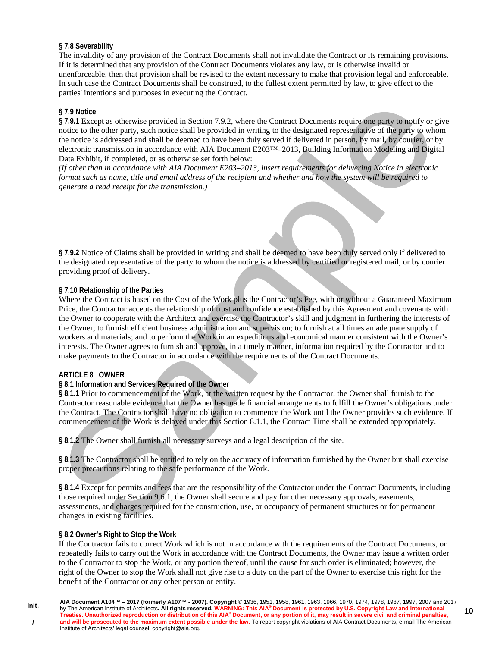# **§ 7.8 Severability**

The invalidity of any provision of the Contract Documents shall not invalidate the Contract or its remaining provisions. If it is determined that any provision of the Contract Documents violates any law, or is otherwise invalid or unenforceable, then that provision shall be revised to the extent necessary to make that provision legal and enforceable. In such case the Contract Documents shall be construed, to the fullest extent permitted by law, to give effect to the parties' intentions and purposes in executing the Contract.

# **§ 7.9 Notice**

**§ 7.9.1** Except as otherwise provided in Section 7.9.2, where the Contract Documents require one party to notify or give notice to the other party, such notice shall be provided in writing to the designated representative of the party to whom the notice is addressed and shall be deemed to have been duly served if delivered in person, by mail, by courier, or by electronic transmission in accordance with AIA Document E203™–2013, Building Information Modeling and Digital Data Exhibit, if completed, or as otherwise set forth below:

*(If other than in accordance with AIA Document E203–2013, insert requirements for delivering Notice in electronic format such as name, title and email address of the recipient and whether and how the system will be required to generate a read receipt for the transmission.)* 

**§ 7.9.2** Notice of Claims shall be provided in writing and shall be deemed to have been duly served only if delivered to the designated representative of the party to whom the notice is addressed by certified or registered mail, or by courier providing proof of delivery.

# **§ 7.10 Relationship of the Parties**

Where the Contract is based on the Cost of the Work plus the Contractor's Fee, with or without a Guaranteed Maximum Price, the Contractor accepts the relationship of trust and confidence established by this Agreement and covenants with the Owner to cooperate with the Architect and exercise the Contractor's skill and judgment in furthering the interests of the Owner; to furnish efficient business administration and supervision; to furnish at all times an adequate supply of workers and materials; and to perform the Work in an expeditious and economical manner consistent with the Owner's interests. The Owner agrees to furnish and approve, in a timely manner, information required by the Contractor and to make payments to the Contractor in accordance with the requirements of the Contract Documents.

# **ARTICLE 8 OWNER**

# **§ 8.1 Information and Services Required of the Owner**

**§ 8.1.1** Prior to commencement of the Work, at the written request by the Contractor, the Owner shall furnish to the Contractor reasonable evidence that the Owner has made financial arrangements to fulfill the Owner's obligations under the Contract. The Contractor shall have no obligation to commence the Work until the Owner provides such evidence. If commencement of the Work is delayed under this Section 8.1.1, the Contract Time shall be extended appropriately.

**§ 8.1.2** The Owner shall furnish all necessary surveys and a legal description of the site.

**§ 8.1.3** The Contractor shall be entitled to rely on the accuracy of information furnished by the Owner but shall exercise proper precautions relating to the safe performance of the Work.

**§ 8.1.4** Except for permits and fees that are the responsibility of the Contractor under the Contract Documents, including those required under Section 9.6.1, the Owner shall secure and pay for other necessary approvals, easements, assessments, and charges required for the construction, use, or occupancy of permanent structures or for permanent changes in existing facilities.

# **§ 8.2 Owner's Right to Stop the Work**

If the Contractor fails to correct Work which is not in accordance with the requirements of the Contract Documents, or repeatedly fails to carry out the Work in accordance with the Contract Documents, the Owner may issue a written order to the Contractor to stop the Work, or any portion thereof, until the cause for such order is eliminated; however, the right of the Owner to stop the Work shall not give rise to a duty on the part of the Owner to exercise this right for the benefit of the Contractor or any other person or entity.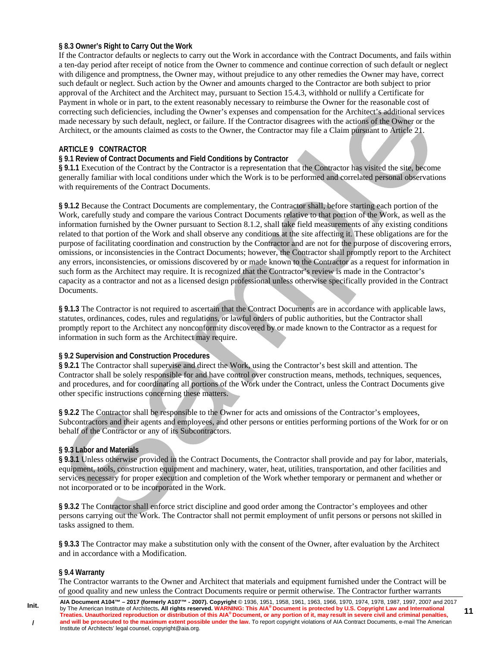# **§ 8.3 Owner's Right to Carry Out the Work**

If the Contractor defaults or neglects to carry out the Work in accordance with the Contract Documents, and fails within a ten-day period after receipt of notice from the Owner to commence and continue correction of such default or neglect with diligence and promptness, the Owner may, without prejudice to any other remedies the Owner may have, correct such default or neglect. Such action by the Owner and amounts charged to the Contractor are both subject to prior approval of the Architect and the Architect may, pursuant to Section 15.4.3, withhold or nullify a Certificate for Payment in whole or in part, to the extent reasonably necessary to reimburse the Owner for the reasonable cost of correcting such deficiencies, including the Owner's expenses and compensation for the Architect's additional services made necessary by such default, neglect, or failure. If the Contractor disagrees with the actions of the Owner or the Architect, or the amounts claimed as costs to the Owner, the Contractor may file a Claim pursuant to Article 21.

# **ARTICLE 9 CONTRACTOR**

# **§ 9.1 Review of Contract Documents and Field Conditions by Contractor**

**§ 9.1.1** Execution of the Contract by the Contractor is a representation that the Contractor has visited the site, become generally familiar with local conditions under which the Work is to be performed and correlated personal observations with requirements of the Contract Documents.

**§ 9.1.2** Because the Contract Documents are complementary, the Contractor shall, before starting each portion of the Work, carefully study and compare the various Contract Documents relative to that portion of the Work, as well as the information furnished by the Owner pursuant to Section 8.1.2, shall take field measurements of any existing conditions related to that portion of the Work and shall observe any conditions at the site affecting it. These obligations are for the purpose of facilitating coordination and construction by the Contractor and are not for the purpose of discovering errors, omissions, or inconsistencies in the Contract Documents; however, the Contractor shall promptly report to the Architect any errors, inconsistencies, or omissions discovered by or made known to the Contractor as a request for information in such form as the Architect may require. It is recognized that the Contractor's review is made in the Contractor's capacity as a contractor and not as a licensed design professional unless otherwise specifically provided in the Contract Documents.

**§ 9.1.3** The Contractor is not required to ascertain that the Contract Documents are in accordance with applicable laws, statutes, ordinances, codes, rules and regulations, or lawful orders of public authorities, but the Contractor shall promptly report to the Architect any nonconformity discovered by or made known to the Contractor as a request for information in such form as the Architect may require.

# **§ 9.2 Supervision and Construction Procedures**

**§ 9.2.1** The Contractor shall supervise and direct the Work, using the Contractor's best skill and attention. The Contractor shall be solely responsible for and have control over construction means, methods, techniques, sequences, and procedures, and for coordinating all portions of the Work under the Contract, unless the Contract Documents give other specific instructions concerning these matters.

**§ 9.2.2** The Contractor shall be responsible to the Owner for acts and omissions of the Contractor's employees, Subcontractors and their agents and employees, and other persons or entities performing portions of the Work for or on behalf of the Contractor or any of its Subcontractors.

# **§ 9.3 Labor and Materials**

**§ 9.3.1** Unless otherwise provided in the Contract Documents, the Contractor shall provide and pay for labor, materials, equipment, tools, construction equipment and machinery, water, heat, utilities, transportation, and other facilities and services necessary for proper execution and completion of the Work whether temporary or permanent and whether or not incorporated or to be incorporated in the Work.

**§ 9.3.2** The Contractor shall enforce strict discipline and good order among the Contractor's employees and other persons carrying out the Work. The Contractor shall not permit employment of unfit persons or persons not skilled in tasks assigned to them.

**§ 9.3.3** The Contractor may make a substitution only with the consent of the Owner, after evaluation by the Architect and in accordance with a Modification.

# **§ 9.4 Warranty**

The Contractor warrants to the Owner and Architect that materials and equipment furnished under the Contract will be of good quality and new unless the Contract Documents require or permit otherwise. The Contractor further warrants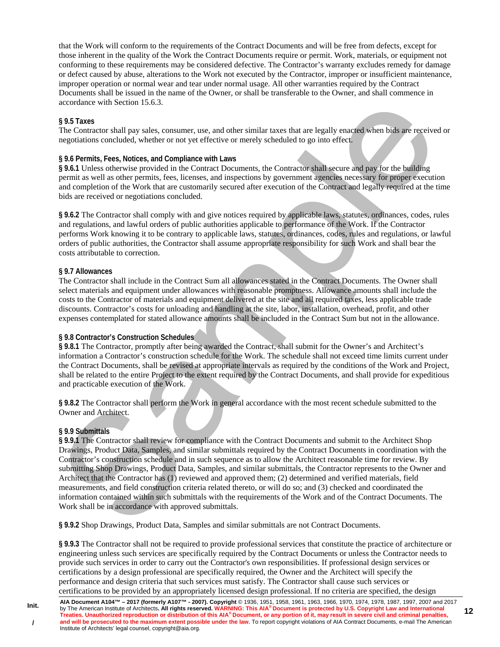that the Work will conform to the requirements of the Contract Documents and will be free from defects, except for those inherent in the quality of the Work the Contract Documents require or permit. Work, materials, or equipment not conforming to these requirements may be considered defective. The Contractor's warranty excludes remedy for damage or defect caused by abuse, alterations to the Work not executed by the Contractor, improper or insufficient maintenance, improper operation or normal wear and tear under normal usage. All other warranties required by the Contract Documents shall be issued in the name of the Owner, or shall be transferable to the Owner, and shall commence in accordance with Section 15.6.3.

# **§ 9.5 Taxes**

The Contractor shall pay sales, consumer, use, and other similar taxes that are legally enacted when bids are received or negotiations concluded, whether or not yet effective or merely scheduled to go into effect.

# **§ 9.6 Permits, Fees, Notices, and Compliance with Laws**

**§ 9.6.1** Unless otherwise provided in the Contract Documents, the Contractor shall secure and pay for the building permit as well as other permits, fees, licenses, and inspections by government agencies necessary for proper execution and completion of the Work that are customarily secured after execution of the Contract and legally required at the time bids are received or negotiations concluded.

**§ 9.6.2** The Contractor shall comply with and give notices required by applicable laws, statutes, ordinances, codes, rules and regulations, and lawful orders of public authorities applicable to performance of the Work. If the Contractor performs Work knowing it to be contrary to applicable laws, statutes, ordinances, codes, rules and regulations, or lawful orders of public authorities, the Contractor shall assume appropriate responsibility for such Work and shall bear the costs attributable to correction.

# **§ 9.7 Allowances**

The Contractor shall include in the Contract Sum all allowances stated in the Contract Documents. The Owner shall select materials and equipment under allowances with reasonable promptness. Allowance amounts shall include the costs to the Contractor of materials and equipment delivered at the site and all required taxes, less applicable trade discounts. Contractor's costs for unloading and handling at the site, labor, installation, overhead, profit, and other expenses contemplated for stated allowance amounts shall be included in the Contract Sum but not in the allowance.

# **§ 9.8 Contractor's Construction Schedules**

**§ 9.8.1** The Contractor, promptly after being awarded the Contract, shall submit for the Owner's and Architect's information a Contractor's construction schedule for the Work. The schedule shall not exceed time limits current under the Contract Documents, shall be revised at appropriate intervals as required by the conditions of the Work and Project, shall be related to the entire Project to the extent required by the Contract Documents, and shall provide for expeditious and practicable execution of the Work.

**§ 9.8.2** The Contractor shall perform the Work in general accordance with the most recent schedule submitted to the Owner and Architect.

# **§ 9.9 Submittals**

**§ 9.9.1** The Contractor shall review for compliance with the Contract Documents and submit to the Architect Shop Drawings, Product Data, Samples, and similar submittals required by the Contract Documents in coordination with the Contractor's construction schedule and in such sequence as to allow the Architect reasonable time for review. By submitting Shop Drawings, Product Data, Samples, and similar submittals, the Contractor represents to the Owner and Architect that the Contractor has (1) reviewed and approved them; (2) determined and verified materials, field measurements, and field construction criteria related thereto, or will do so; and (3) checked and coordinated the information contained within such submittals with the requirements of the Work and of the Contract Documents. The Work shall be in accordance with approved submittals.

**§ 9.9.2** Shop Drawings, Product Data, Samples and similar submittals are not Contract Documents.

**§ 9.9.3** The Contractor shall not be required to provide professional services that constitute the practice of architecture or engineering unless such services are specifically required by the Contract Documents or unless the Contractor needs to provide such services in order to carry out the Contractor's own responsibilities. If professional design services or certifications by a design professional are specifically required, the Owner and the Architect will specify the performance and design criteria that such services must satisfy. The Contractor shall cause such services or certifications to be provided by an appropriately licensed design professional. If no criteria are specified, the design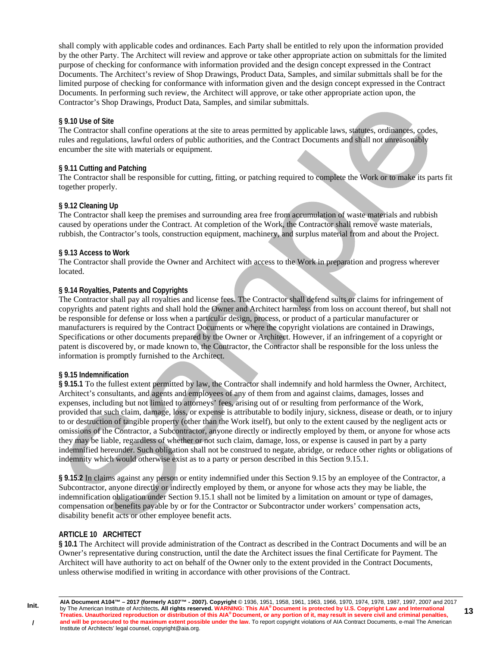shall comply with applicable codes and ordinances. Each Party shall be entitled to rely upon the information provided by the other Party. The Architect will review and approve or take other appropriate action on submittals for the limited purpose of checking for conformance with information provided and the design concept expressed in the Contract Documents. The Architect's review of Shop Drawings, Product Data, Samples, and similar submittals shall be for the limited purpose of checking for conformance with information given and the design concept expressed in the Contract Documents. In performing such review, the Architect will approve, or take other appropriate action upon, the Contractor's Shop Drawings, Product Data, Samples, and similar submittals.

# **§ 9.10 Use of Site**

The Contractor shall confine operations at the site to areas permitted by applicable laws, statutes, ordinances, codes, rules and regulations, lawful orders of public authorities, and the Contract Documents and shall not unreasonably encumber the site with materials or equipment.

# **§ 9.11 Cutting and Patching**

The Contractor shall be responsible for cutting, fitting, or patching required to complete the Work or to make its parts fit together properly.

# **§ 9.12 Cleaning Up**

The Contractor shall keep the premises and surrounding area free from accumulation of waste materials and rubbish caused by operations under the Contract. At completion of the Work, the Contractor shall remove waste materials, rubbish, the Contractor's tools, construction equipment, machinery, and surplus material from and about the Project.

# **§ 9.13 Access to Work**

The Contractor shall provide the Owner and Architect with access to the Work in preparation and progress wherever located.

# **§ 9.14 Royalties, Patents and Copyrights**

The Contractor shall pay all royalties and license fees. The Contractor shall defend suits or claims for infringement of copyrights and patent rights and shall hold the Owner and Architect harmless from loss on account thereof, but shall not be responsible for defense or loss when a particular design, process, or product of a particular manufacturer or manufacturers is required by the Contract Documents or where the copyright violations are contained in Drawings, Specifications or other documents prepared by the Owner or Architect. However, if an infringement of a copyright or patent is discovered by, or made known to, the Contractor, the Contractor shall be responsible for the loss unless the information is promptly furnished to the Architect.

# **§ 9.15 Indemnification**

**§ 9.15.1** To the fullest extent permitted by law, the Contractor shall indemnify and hold harmless the Owner, Architect, Architect's consultants, and agents and employees of any of them from and against claims, damages, losses and expenses, including but not limited to attorneys' fees, arising out of or resulting from performance of the Work, provided that such claim, damage, loss, or expense is attributable to bodily injury, sickness, disease or death, or to injury to or destruction of tangible property (other than the Work itself), but only to the extent caused by the negligent acts or omissions of the Contractor, a Subcontractor, anyone directly or indirectly employed by them, or anyone for whose acts they may be liable, regardless of whether or not such claim, damage, loss, or expense is caused in part by a party indemnified hereunder. Such obligation shall not be construed to negate, abridge, or reduce other rights or obligations of indemnity which would otherwise exist as to a party or person described in this Section 9.15.1.

**§ 9.15.2** In claims against any person or entity indemnified under this Section 9.15 by an employee of the Contractor, a Subcontractor, anyone directly or indirectly employed by them, or anyone for whose acts they may be liable, the indemnification obligation under Section 9.15.1 shall not be limited by a limitation on amount or type of damages, compensation or benefits payable by or for the Contractor or Subcontractor under workers' compensation acts, disability benefit acts or other employee benefit acts.

# **ARTICLE 10 ARCHITECT**

**Init.** 

**/** 

**§ 10.1** The Architect will provide administration of the Contract as described in the Contract Documents and will be an Owner's representative during construction, until the date the Architect issues the final Certificate for Payment. The Architect will have authority to act on behalf of the Owner only to the extent provided in the Contract Documents, unless otherwise modified in writing in accordance with other provisions of the Contract.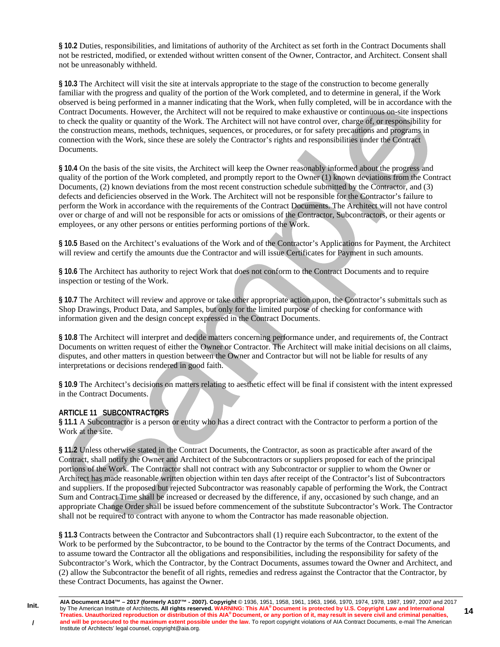**§ 10.2** Duties, responsibilities, and limitations of authority of the Architect as set forth in the Contract Documents shall not be restricted, modified, or extended without written consent of the Owner, Contractor, and Architect. Consent shall not be unreasonably withheld.

**§ 10.3** The Architect will visit the site at intervals appropriate to the stage of the construction to become generally familiar with the progress and quality of the portion of the Work completed, and to determine in general, if the Work observed is being performed in a manner indicating that the Work, when fully completed, will be in accordance with the Contract Documents. However, the Architect will not be required to make exhaustive or continuous on-site inspections to check the quality or quantity of the Work. The Architect will not have control over, charge of, or responsibility for the construction means, methods, techniques, sequences, or procedures, or for safety precautions and programs in connection with the Work, since these are solely the Contractor's rights and responsibilities under the Contract Documents.

**§ 10.4** On the basis of the site visits, the Architect will keep the Owner reasonably informed about the progress and quality of the portion of the Work completed, and promptly report to the Owner (1) known deviations from the Contract Documents, (2) known deviations from the most recent construction schedule submitted by the Contractor, and (3) defects and deficiencies observed in the Work. The Architect will not be responsible for the Contractor's failure to perform the Work in accordance with the requirements of the Contract Documents. The Architect will not have control over or charge of and will not be responsible for acts or omissions of the Contractor, Subcontractors, or their agents or employees, or any other persons or entities performing portions of the Work.

**§ 10.5** Based on the Architect's evaluations of the Work and of the Contractor's Applications for Payment, the Architect will review and certify the amounts due the Contractor and will issue Certificates for Payment in such amounts.

**§ 10.6** The Architect has authority to reject Work that does not conform to the Contract Documents and to require inspection or testing of the Work.

**§ 10.7** The Architect will review and approve or take other appropriate action upon, the Contractor's submittals such as Shop Drawings, Product Data, and Samples, but only for the limited purpose of checking for conformance with information given and the design concept expressed in the Contract Documents.

**§ 10.8** The Architect will interpret and decide matters concerning performance under, and requirements of, the Contract Documents on written request of either the Owner or Contractor. The Architect will make initial decisions on all claims, disputes, and other matters in question between the Owner and Contractor but will not be liable for results of any interpretations or decisions rendered in good faith.

**§ 10.9** The Architect's decisions on matters relating to aesthetic effect will be final if consistent with the intent expressed in the Contract Documents.

# **ARTICLE 11 SUBCONTRACTORS**

**§ 11.1** A Subcontractor is a person or entity who has a direct contract with the Contractor to perform a portion of the Work at the site.

**§ 11.2** Unless otherwise stated in the Contract Documents, the Contractor, as soon as practicable after award of the Contract, shall notify the Owner and Architect of the Subcontractors or suppliers proposed for each of the principal portions of the Work. The Contractor shall not contract with any Subcontractor or supplier to whom the Owner or Architect has made reasonable written objection within ten days after receipt of the Contractor's list of Subcontractors and suppliers. If the proposed but rejected Subcontractor was reasonably capable of performing the Work, the Contract Sum and Contract Time shall be increased or decreased by the difference, if any, occasioned by such change, and an appropriate Change Order shall be issued before commencement of the substitute Subcontractor's Work. The Contractor shall not be required to contract with anyone to whom the Contractor has made reasonable objection.

**§ 11.3** Contracts between the Contractor and Subcontractors shall (1) require each Subcontractor, to the extent of the Work to be performed by the Subcontractor, to be bound to the Contractor by the terms of the Contract Documents, and to assume toward the Contractor all the obligations and responsibilities, including the responsibility for safety of the Subcontractor's Work, which the Contractor, by the Contract Documents, assumes toward the Owner and Architect, and (2) allow the Subcontractor the benefit of all rights, remedies and redress against the Contractor that the Contractor, by these Contract Documents, has against the Owner.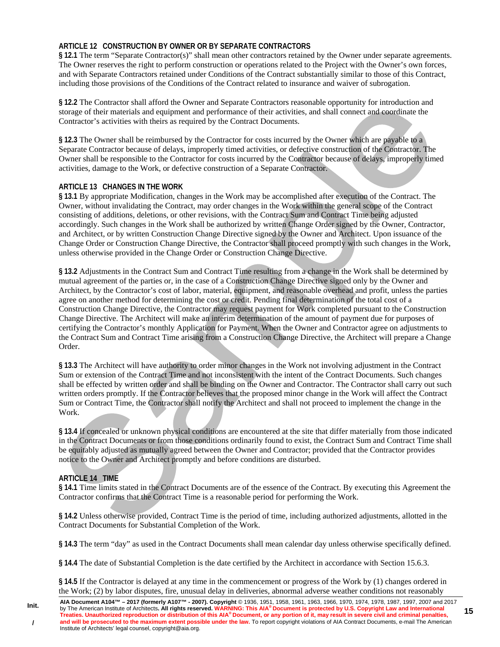# **ARTICLE 12 CONSTRUCTION BY OWNER OR BY SEPARATE CONTRACTORS**

**§ 12.1** The term "Separate Contractor(s)" shall mean other contractors retained by the Owner under separate agreements. The Owner reserves the right to perform construction or operations related to the Project with the Owner's own forces, and with Separate Contractors retained under Conditions of the Contract substantially similar to those of this Contract, including those provisions of the Conditions of the Contract related to insurance and waiver of subrogation.

**§ 12.2** The Contractor shall afford the Owner and Separate Contractors reasonable opportunity for introduction and storage of their materials and equipment and performance of their activities, and shall connect and coordinate the Contractor's activities with theirs as required by the Contract Documents.

**§ 12.3** The Owner shall be reimbursed by the Contractor for costs incurred by the Owner which are payable to a Separate Contractor because of delays, improperly timed activities, or defective construction of the Contractor. The Owner shall be responsible to the Contractor for costs incurred by the Contractor because of delays, improperly timed activities, damage to the Work, or defective construction of a Separate Contractor.

# **ARTICLE 13 CHANGES IN THE WORK**

**§ 13.1** By appropriate Modification, changes in the Work may be accomplished after execution of the Contract. The Owner, without invalidating the Contract, may order changes in the Work within the general scope of the Contract consisting of additions, deletions, or other revisions, with the Contract Sum and Contract Time being adjusted accordingly. Such changes in the Work shall be authorized by written Change Order signed by the Owner, Contractor, and Architect, or by written Construction Change Directive signed by the Owner and Architect. Upon issuance of the Change Order or Construction Change Directive, the Contractor shall proceed promptly with such changes in the Work, unless otherwise provided in the Change Order or Construction Change Directive.

**§ 13.2** Adjustments in the Contract Sum and Contract Time resulting from a change in the Work shall be determined by mutual agreement of the parties or, in the case of a Construction Change Directive signed only by the Owner and Architect, by the Contractor's cost of labor, material, equipment, and reasonable overhead and profit, unless the parties agree on another method for determining the cost or credit. Pending final determination of the total cost of a Construction Change Directive, the Contractor may request payment for Work completed pursuant to the Construction Change Directive. The Architect will make an interim determination of the amount of payment due for purposes of certifying the Contractor's monthly Application for Payment. When the Owner and Contractor agree on adjustments to the Contract Sum and Contract Time arising from a Construction Change Directive, the Architect will prepare a Change Order.

**§ 13.3** The Architect will have authority to order minor changes in the Work not involving adjustment in the Contract Sum or extension of the Contract Time and not inconsistent with the intent of the Contract Documents. Such changes shall be effected by written order and shall be binding on the Owner and Contractor. The Contractor shall carry out such written orders promptly. If the Contractor believes that the proposed minor change in the Work will affect the Contract Sum or Contract Time, the Contractor shall notify the Architect and shall not proceed to implement the change in the Work.

**§ 13.4** If concealed or unknown physical conditions are encountered at the site that differ materially from those indicated in the Contract Documents or from those conditions ordinarily found to exist, the Contract Sum and Contract Time shall be equitably adjusted as mutually agreed between the Owner and Contractor; provided that the Contractor provides notice to the Owner and Architect promptly and before conditions are disturbed.

# **ARTICLE 14 TIME**

**§ 14.1** Time limits stated in the Contract Documents are of the essence of the Contract. By executing this Agreement the Contractor confirms that the Contract Time is a reasonable period for performing the Work.

**§ 14.2** Unless otherwise provided, Contract Time is the period of time, including authorized adjustments, allotted in the Contract Documents for Substantial Completion of the Work.

**§ 14.3** The term "day" as used in the Contract Documents shall mean calendar day unless otherwise specifically defined.

**§ 14.4** The date of Substantial Completion is the date certified by the Architect in accordance with Section 15.6.3.

**§ 14.5** If the Contractor is delayed at any time in the commencement or progress of the Work by (1) changes ordered in the Work; (2) by labor disputes, fire, unusual delay in deliveries, abnormal adverse weather conditions not reasonably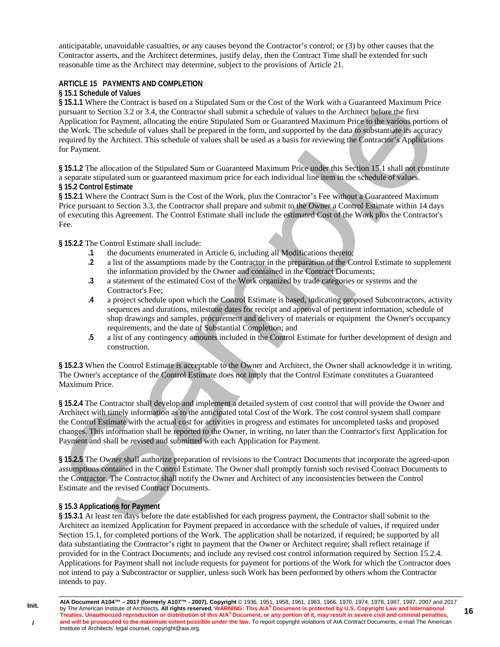anticipatable, unavoidable casualties, or any causes beyond the Contractor's control; or (3) by other causes that the Contractor asserts, and the Architect determines, justify delay, then the Contract Time shall be extended for such reasonable time as the Architect may determine, subject to the provisions of Article 21.

# **ARTICLE 15 PAYMENTS AND COMPLETION**

# **§ 15.1 Schedule of Values**

**§ 15.1.1** Where the Contract is based on a Stipulated Sum or the Cost of the Work with a Guaranteed Maximum Price pursuant to Section 3.2 or 3.4, the Contractor shall submit a schedule of values to the Architect before the first Application for Payment, allocating the entire Stipulated Sum or Guaranteed Maximum Price to the various portions of the Work. The schedule of values shall be prepared in the form, and supported by the data to substantiate its accuracy required by the Architect. This schedule of values shall be used as a basis for reviewing the Contractor's Applications for Payment.

**§ 15.1.2** The allocation of the Stipulated Sum or Guaranteed Maximum Price under this Section 15.1 shall not constitute a separate stipulated sum or guaranteed maximum price for each individual line item in the schedule of values. **§ 15.2 Control Estimate** 

**§ 15.2.1** Where the Contract Sum is the Cost of the Work, plus the Contractor's Fee without a Guaranteed Maximum Price pursuant to Section 3.3, the Contractor shall prepare and submit to the Owner a Control Estimate within 14 days of executing this Agreement. The Control Estimate shall include the estimated Cost of the Work plus the Contractor's Fee.

**§ 15.2.2** The Control Estimate shall include:

- **.1** the documents enumerated in Article 6, including all Modifications thereto;
- **.2** a list of the assumptions made by the Contractor in the preparation of the Control Estimate to supplement the information provided by the Owner and contained in the Contract Documents;
- **.3** a statement of the estimated Cost of the Work organized by trade categories or systems and the Contractor's Fee;
- **.4** a project schedule upon which the Control Estimate is based, indicating proposed Subcontractors, activity sequences and durations, milestone dates for receipt and approval of pertinent information, schedule of shop drawings and samples, procurement and delivery of materials or equipment the Owner's occupancy requirements, and the date of Substantial Completion; and
- **.5** a list of any contingency amounts included in the Control Estimate for further development of design and construction.

**§ 15.2.3** When the Control Estimate is acceptable to the Owner and Architect, the Owner shall acknowledge it in writing. The Owner's acceptance of the Control Estimate does not imply that the Control Estimate constitutes a Guaranteed Maximum Price.

**§ 15.2.4** The Contractor shall develop and implement a detailed system of cost control that will provide the Owner and Architect with timely information as to the anticipated total Cost of the Work. The cost control system shall compare the Control Estimate with the actual cost for activities in progress and estimates for uncompleted tasks and proposed changes. This information shall be reported to the Owner, in writing, no later than the Contractor's first Application for Payment and shall be revised and submitted with each Application for Payment.

**§ 15.2.5** The Owner shall authorize preparation of revisions to the Contract Documents that incorporate the agreed-upon assumptions contained in the Control Estimate. The Owner shall promptly furnish such revised Contract Documents to the Contractor. The Contractor shall notify the Owner and Architect of any inconsistencies between the Control Estimate and the revised Contract Documents.

# **§ 15.3 Applications for Payment**

**§ 15.3.1** At least ten days before the date established for each progress payment, the Contractor shall submit to the Architect an itemized Application for Payment prepared in accordance with the schedule of values, if required under Section 15.1, for completed portions of the Work. The application shall be notarized, if required; be supported by all data substantiating the Contractor's right to payment that the Owner or Architect require; shall reflect retainage if provided for in the Contract Documents; and include any revised cost control information required by Section 15.2.4. Applications for Payment shall not include requests for payment for portions of the Work for which the Contractor does not intend to pay a Subcontractor or supplier, unless such Work has been performed by others whom the Contractor intends to pay.

**/**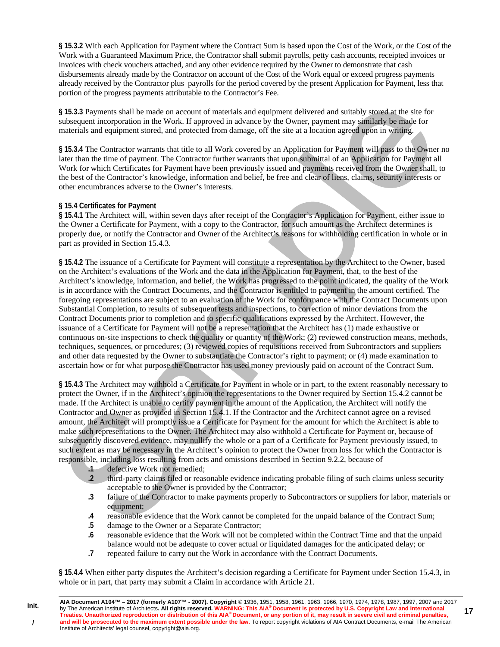**§ 15.3.2** With each Application for Payment where the Contract Sum is based upon the Cost of the Work, or the Cost of the Work with a Guaranteed Maximum Price, the Contractor shall submit payrolls, petty cash accounts, receipted invoices or invoices with check vouchers attached, and any other evidence required by the Owner to demonstrate that cash disbursements already made by the Contractor on account of the Cost of the Work equal or exceed progress payments already received by the Contractor plus payrolls for the period covered by the present Application for Payment, less that portion of the progress payments attributable to the Contractor's Fee.

**§ 15.3.3** Payments shall be made on account of materials and equipment delivered and suitably stored at the site for subsequent incorporation in the Work. If approved in advance by the Owner, payment may similarly be made for materials and equipment stored, and protected from damage, off the site at a location agreed upon in writing.

**§ 15.3.4** The Contractor warrants that title to all Work covered by an Application for Payment will pass to the Owner no later than the time of payment. The Contractor further warrants that upon submittal of an Application for Payment all Work for which Certificates for Payment have been previously issued and payments received from the Owner shall, to the best of the Contractor's knowledge, information and belief, be free and clear of liens, claims, security interests or other encumbrances adverse to the Owner's interests.

# **§ 15.4 Certificates for Payment**

**§ 15.4.1** The Architect will, within seven days after receipt of the Contractor's Application for Payment, either issue to the Owner a Certificate for Payment, with a copy to the Contractor, for such amount as the Architect determines is properly due, or notify the Contractor and Owner of the Architect's reasons for withholding certification in whole or in part as provided in Section 15.4.3.

**§ 15.4.2** The issuance of a Certificate for Payment will constitute a representation by the Architect to the Owner, based on the Architect's evaluations of the Work and the data in the Application for Payment, that, to the best of the Architect's knowledge, information, and belief, the Work has progressed to the point indicated, the quality of the Work is in accordance with the Contract Documents, and the Contractor is entitled to payment in the amount certified. The foregoing representations are subject to an evaluation of the Work for conformance with the Contract Documents upon Substantial Completion, to results of subsequent tests and inspections, to correction of minor deviations from the Contract Documents prior to completion and to specific qualifications expressed by the Architect. However, the issuance of a Certificate for Payment will not be a representation that the Architect has (1) made exhaustive or continuous on-site inspections to check the quality or quantity of the Work; (2) reviewed construction means, methods, techniques, sequences, or procedures; (3) reviewed copies of requisitions received from Subcontractors and suppliers and other data requested by the Owner to substantiate the Contractor's right to payment; or (4) made examination to ascertain how or for what purpose the Contractor has used money previously paid on account of the Contract Sum.

**§ 15.4.3** The Architect may withhold a Certificate for Payment in whole or in part, to the extent reasonably necessary to protect the Owner, if in the Architect's opinion the representations to the Owner required by Section 15.4.2 cannot be made. If the Architect is unable to certify payment in the amount of the Application, the Architect will notify the Contractor and Owner as provided in Section 15.4.1. If the Contractor and the Architect cannot agree on a revised amount, the Architect will promptly issue a Certificate for Payment for the amount for which the Architect is able to make such representations to the Owner. The Architect may also withhold a Certificate for Payment or, because of subsequently discovered evidence, may nullify the whole or a part of a Certificate for Payment previously issued, to such extent as may be necessary in the Architect's opinion to protect the Owner from loss for which the Contractor is responsible, including loss resulting from acts and omissions described in Section 9.2.2, because of

- **.1** defective Work not remedied;
- **.2** third-party claims filed or reasonable evidence indicating probable filing of such claims unless security acceptable to the Owner is provided by the Contractor;
- **.3** failure of the Contractor to make payments properly to Subcontractors or suppliers for labor, materials or equipment;
- **.4** reasonable evidence that the Work cannot be completed for the unpaid balance of the Contract Sum;
- **.5** damage to the Owner or a Separate Contractor;
- **.6** reasonable evidence that the Work will not be completed within the Contract Time and that the unpaid balance would not be adequate to cover actual or liquidated damages for the anticipated delay; or
- **.7** repeated failure to carry out the Work in accordance with the Contract Documents.

**§ 15.4.4** When either party disputes the Architect's decision regarding a Certificate for Payment under Section 15.4.3, in whole or in part, that party may submit a Claim in accordance with Article 21.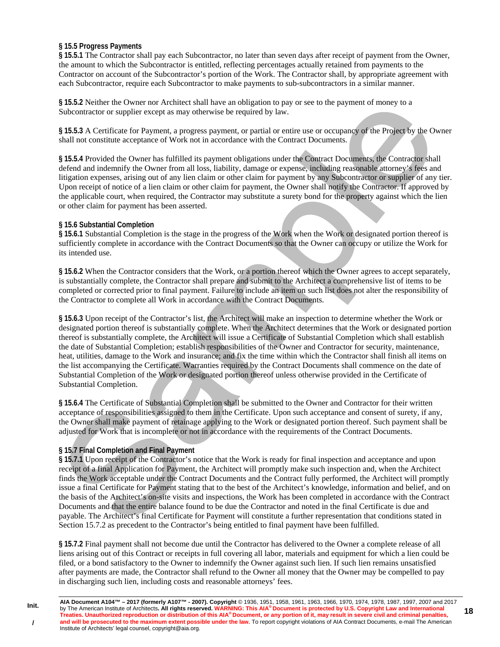# **§ 15.5 Progress Payments**

**§ 15.5.1** The Contractor shall pay each Subcontractor, no later than seven days after receipt of payment from the Owner, the amount to which the Subcontractor is entitled, reflecting percentages actually retained from payments to the Contractor on account of the Subcontractor's portion of the Work. The Contractor shall, by appropriate agreement with each Subcontractor, require each Subcontractor to make payments to sub-subcontractors in a similar manner.

**§ 15.5.2** Neither the Owner nor Architect shall have an obligation to pay or see to the payment of money to a Subcontractor or supplier except as may otherwise be required by law.

**§ 15.5.3** A Certificate for Payment, a progress payment, or partial or entire use or occupancy of the Project by the Owner shall not constitute acceptance of Work not in accordance with the Contract Documents.

**§ 15.5.4** Provided the Owner has fulfilled its payment obligations under the Contract Documents, the Contractor shall defend and indemnify the Owner from all loss, liability, damage or expense, including reasonable attorney's fees and litigation expenses, arising out of any lien claim or other claim for payment by any Subcontractor or supplier of any tier. Upon receipt of notice of a lien claim or other claim for payment, the Owner shall notify the Contractor. If approved by the applicable court, when required, the Contractor may substitute a surety bond for the property against which the lien or other claim for payment has been asserted.

# **§ 15.6 Substantial Completion**

**§ 15.6.1** Substantial Completion is the stage in the progress of the Work when the Work or designated portion thereof is sufficiently complete in accordance with the Contract Documents so that the Owner can occupy or utilize the Work for its intended use.

**§ 15.6.2** When the Contractor considers that the Work, or a portion thereof which the Owner agrees to accept separately, is substantially complete, the Contractor shall prepare and submit to the Architect a comprehensive list of items to be completed or corrected prior to final payment. Failure to include an item on such list does not alter the responsibility of the Contractor to complete all Work in accordance with the Contract Documents.

**§ 15.6.3** Upon receipt of the Contractor's list, the Architect will make an inspection to determine whether the Work or designated portion thereof is substantially complete. When the Architect determines that the Work or designated portion thereof is substantially complete, the Architect will issue a Certificate of Substantial Completion which shall establish the date of Substantial Completion; establish responsibilities of the Owner and Contractor for security, maintenance, heat, utilities, damage to the Work and insurance; and fix the time within which the Contractor shall finish all items on the list accompanying the Certificate. Warranties required by the Contract Documents shall commence on the date of Substantial Completion of the Work or designated portion thereof unless otherwise provided in the Certificate of Substantial Completion.

**§ 15.6.4** The Certificate of Substantial Completion shall be submitted to the Owner and Contractor for their written acceptance of responsibilities assigned to them in the Certificate. Upon such acceptance and consent of surety, if any, the Owner shall make payment of retainage applying to the Work or designated portion thereof. Such payment shall be adjusted for Work that is incomplete or not in accordance with the requirements of the Contract Documents.

# **§ 15.7 Final Completion and Final Payment**

**§ 15.7.1** Upon receipt of the Contractor's notice that the Work is ready for final inspection and acceptance and upon receipt of a final Application for Payment, the Architect will promptly make such inspection and, when the Architect finds the Work acceptable under the Contract Documents and the Contract fully performed, the Architect will promptly issue a final Certificate for Payment stating that to the best of the Architect's knowledge, information and belief, and on the basis of the Architect's on-site visits and inspections, the Work has been completed in accordance with the Contract Documents and that the entire balance found to be due the Contractor and noted in the final Certificate is due and payable. The Architect's final Certificate for Payment will constitute a further representation that conditions stated in Section 15.7.2 as precedent to the Contractor's being entitled to final payment have been fulfilled.

**§ 15.7.2** Final payment shall not become due until the Contractor has delivered to the Owner a complete release of all liens arising out of this Contract or receipts in full covering all labor, materials and equipment for which a lien could be filed, or a bond satisfactory to the Owner to indemnify the Owner against such lien. If such lien remains unsatisfied after payments are made, the Contractor shall refund to the Owner all money that the Owner may be compelled to pay in discharging such lien, including costs and reasonable attorneys' fees.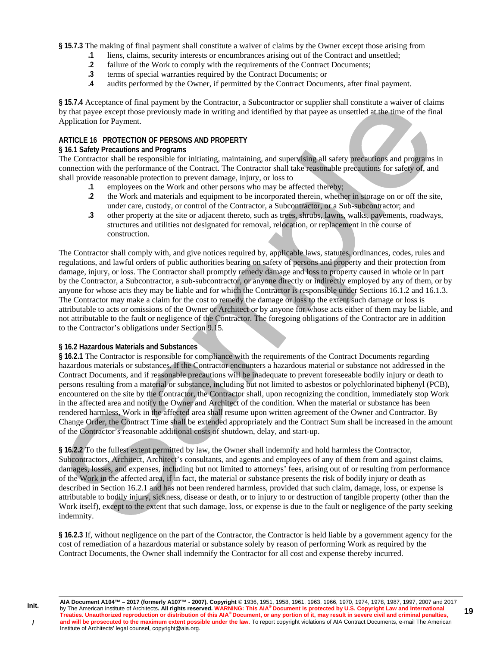**§ 15.7.3** The making of final payment shall constitute a waiver of claims by the Owner except those arising from

- **.1** liens, claims, security interests or encumbrances arising out of the Contract and unsettled;
- **.2** failure of the Work to comply with the requirements of the Contract Documents;
- **.3** terms of special warranties required by the Contract Documents; or
- **.4** audits performed by the Owner, if permitted by the Contract Documents, after final payment.

**§ 15.7.4** Acceptance of final payment by the Contractor, a Subcontractor or supplier shall constitute a waiver of claims by that payee except those previously made in writing and identified by that payee as unsettled at the time of the final Application for Payment.

# **ARTICLE 16 PROTECTION OF PERSONS AND PROPERTY**

#### **§ 16.1 Safety Precautions and Programs**

The Contractor shall be responsible for initiating, maintaining, and supervising all safety precautions and programs in connection with the performance of the Contract. The Contractor shall take reasonable precautions for safety of, and shall provide reasonable protection to prevent damage, injury, or loss to

- **.1** employees on the Work and other persons who may be affected thereby;
- **.2** the Work and materials and equipment to be incorporated therein, whether in storage on or off the site, under care, custody, or control of the Contractor, a Subcontractor, or a Sub-subcontractor; and
- **.3** other property at the site or adjacent thereto, such as trees, shrubs, lawns, walks, pavements, roadways, structures and utilities not designated for removal, relocation, or replacement in the course of construction.

The Contractor shall comply with, and give notices required by, applicable laws, statutes, ordinances, codes, rules and regulations, and lawful orders of public authorities bearing on safety of persons and property and their protection from damage, injury, or loss. The Contractor shall promptly remedy damage and loss to property caused in whole or in part by the Contractor, a Subcontractor, a sub-subcontractor, or anyone directly or indirectly employed by any of them, or by anyone for whose acts they may be liable and for which the Contractor is responsible under Sections 16.1.2 and 16.1.3. The Contractor may make a claim for the cost to remedy the damage or loss to the extent such damage or loss is attributable to acts or omissions of the Owner or Architect or by anyone for whose acts either of them may be liable, and not attributable to the fault or negligence of the Contractor. The foregoing obligations of the Contractor are in addition to the Contractor's obligations under Section 9.15.

# **§ 16.2 Hazardous Materials and Substances**

**§ 16.2.1** The Contractor is responsible for compliance with the requirements of the Contract Documents regarding hazardous materials or substances. If the Contractor encounters a hazardous material or substance not addressed in the Contract Documents, and if reasonable precautions will be inadequate to prevent foreseeable bodily injury or death to persons resulting from a material or substance, including but not limited to asbestos or polychlorinated biphenyl (PCB), encountered on the site by the Contractor, the Contractor shall, upon recognizing the condition, immediately stop Work in the affected area and notify the Owner and Architect of the condition. When the material or substance has been rendered harmless, Work in the affected area shall resume upon written agreement of the Owner and Contractor. By Change Order, the Contract Time shall be extended appropriately and the Contract Sum shall be increased in the amount of the Contractor's reasonable additional costs of shutdown, delay, and start-up.

**§ 16.2.2** To the fullest extent permitted by law, the Owner shall indemnify and hold harmless the Contractor, Subcontractors, Architect, Architect's consultants, and agents and employees of any of them from and against claims, damages, losses, and expenses, including but not limited to attorneys' fees, arising out of or resulting from performance of the Work in the affected area, if in fact, the material or substance presents the risk of bodily injury or death as described in Section 16.2.1 and has not been rendered harmless, provided that such claim, damage, loss, or expense is attributable to bodily injury, sickness, disease or death, or to injury to or destruction of tangible property (other than the Work itself), except to the extent that such damage, loss, or expense is due to the fault or negligence of the party seeking indemnity.

**§ 16.2.3** If, without negligence on the part of the Contractor, the Contractor is held liable by a government agency for the cost of remediation of a hazardous material or substance solely by reason of performing Work as required by the Contract Documents, the Owner shall indemnify the Contractor for all cost and expense thereby incurred.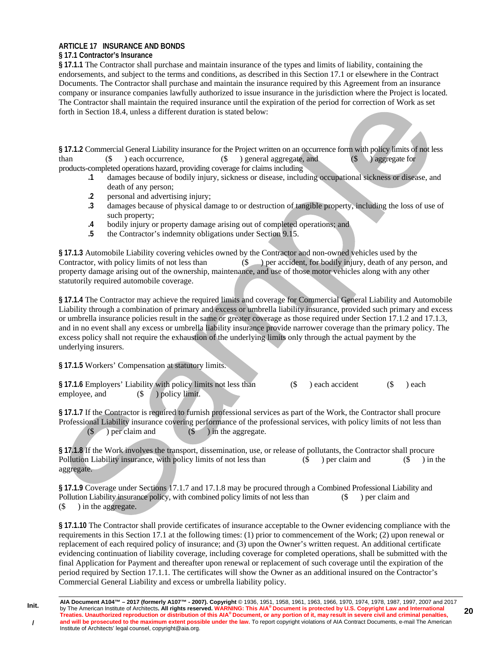# **ARTICLE 17 INSURANCE AND BONDS**

# **§ 17.1 Contractor's Insurance**

**§ 17.1.1** The Contractor shall purchase and maintain insurance of the types and limits of liability, containing the endorsements, and subject to the terms and conditions, as described in this Section 17.1 or elsewhere in the Contract Documents. The Contractor shall purchase and maintain the insurance required by this Agreement from an insurance company or insurance companies lawfully authorized to issue insurance in the jurisdiction where the Project is located. The Contractor shall maintain the required insurance until the expiration of the period for correction of Work as set forth in Section 18.4, unless a different duration is stated below:

**§ 17.1.2** Commercial General Liability insurance for the Project written on an occurrence form with policy limits of not less than  $(\text{S})$  each occurrence,  $(\text{S})$  general aggregate, and  $(\text{S})$  aggregate for products-completed operations hazard, providing coverage for claims including

- **.1** damages because of bodily injury, sickness or disease, including occupational sickness or disease, and death of any person;
- **.2** personal and advertising injury;
- **.3** damages because of physical damage to or destruction of tangible property, including the loss of use of such property;
- **.4** bodily injury or property damage arising out of completed operations; and
- **.5** the Contractor's indemnity obligations under Section 9.15.

**§ 17.1.3** Automobile Liability covering vehicles owned by the Contractor and non-owned vehicles used by the Contractor, with policy limits of not less than  $(\$\_\_)$  per accident, for bodily injury, death of any person, and property damage arising out of the ownership, maintenance, and use of those motor vehicles along with any other statutorily required automobile coverage.

**§ 17.1.4** The Contractor may achieve the required limits and coverage for Commercial General Liability and Automobile Liability through a combination of primary and excess or umbrella liability insurance, provided such primary and excess or umbrella insurance policies result in the same or greater coverage as those required under Section 17.1.2 and 17.1.3, and in no event shall any excess or umbrella liability insurance provide narrower coverage than the primary policy. The excess policy shall not require the exhaustion of the underlying limits only through the actual payment by the underlying insurers.

# **§ 17.1.5** Workers' Compensation at statutory limits.

**§ 17.1.6** Employers' Liability with policy limits not less than (\$ ) each accident (\$ ) each employee, and  $(\$\)$  policy limit.

**§ 17.1.7** If the Contractor is required to furnish professional services as part of the Work, the Contractor shall procure Professional Liability insurance covering performance of the professional services, with policy limits of not less than  $(\text{$}^{\circ})$  per claim and  $(\text{$}^{\circ})$  in the aggregate.

**§ 17.1.8** If the Work involves the transport, dissemination, use, or release of pollutants, the Contractor shall procure Pollution Liability insurance, with policy limits of not less than (\$ ) per claim and (\$ ) in the aggregate.

**§ 17.1.9** Coverage under Sections 17.1.7 and 17.1.8 may be procured through a Combined Professional Liability and Pollution Liability insurance policy, with combined policy limits of not less than (\$) per claim and (\$ ) in the aggregate.

**§ 17.1.10** The Contractor shall provide certificates of insurance acceptable to the Owner evidencing compliance with the requirements in this Section 17.1 at the following times: (1) prior to commencement of the Work; (2) upon renewal or replacement of each required policy of insurance; and (3) upon the Owner's written request. An additional certificate evidencing continuation of liability coverage, including coverage for completed operations, shall be submitted with the final Application for Payment and thereafter upon renewal or replacement of such coverage until the expiration of the period required by Section 17.1.1. The certificates will show the Owner as an additional insured on the Contractor's Commercial General Liability and excess or umbrella liability policy.

**/**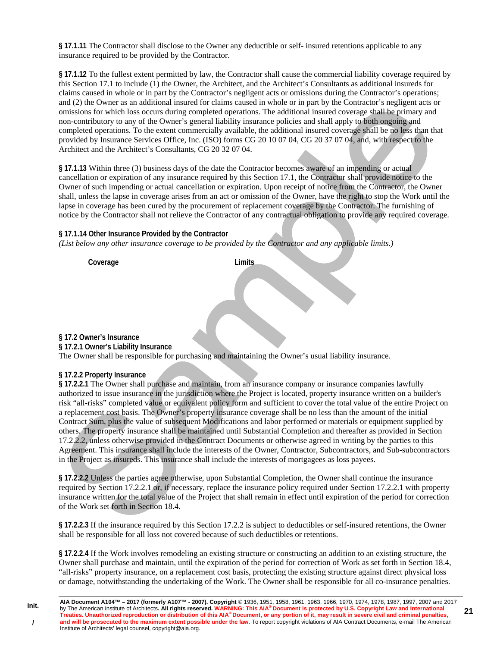**§ 17.1.11** The Contractor shall disclose to the Owner any deductible or self- insured retentions applicable to any insurance required to be provided by the Contractor.

**§ 17.1.12** To the fullest extent permitted by law, the Contractor shall cause the commercial liability coverage required by this Section 17.1 to include (1) the Owner, the Architect, and the Architect's Consultants as additional insureds for claims caused in whole or in part by the Contractor's negligent acts or omissions during the Contractor's operations; and (2) the Owner as an additional insured for claims caused in whole or in part by the Contractor's negligent acts or omissions for which loss occurs during completed operations. The additional insured coverage shall be primary and non-contributory to any of the Owner's general liability insurance policies and shall apply to both ongoing and completed operations. To the extent commercially available, the additional insured coverage shall be no less than that provided by Insurance Services Office, Inc. (ISO) forms CG 20 10 07 04, CG 20 37 07 04, and, with respect to the Architect and the Architect's Consultants, CG 20 32 07 04.

**§ 17.1.13** Within three (3) business days of the date the Contractor becomes aware of an impending or actual cancellation or expiration of any insurance required by this Section 17.1, the Contractor shall provide notice to the Owner of such impending or actual cancellation or expiration. Upon receipt of notice from the Contractor, the Owner shall, unless the lapse in coverage arises from an act or omission of the Owner, have the right to stop the Work until the lapse in coverage has been cured by the procurement of replacement coverage by the Contractor. The furnishing of notice by the Contractor shall not relieve the Contractor of any contractual obligation to provide any required coverage.

# **§ 17.1.14 Other Insurance Provided by the Contractor**

*(List below any other insurance coverage to be provided by the Contractor and any applicable limits.)* 

**Coverage Limits** 

# **§ 17.2 Owner's Insurance**

**§ 17.2.1 Owner's Liability Insurance** 

The Owner shall be responsible for purchasing and maintaining the Owner's usual liability insurance.

# **§ 17.2.2 Property Insurance**

**§ 17.2.2.1** The Owner shall purchase and maintain, from an insurance company or insurance companies lawfully authorized to issue insurance in the jurisdiction where the Project is located, property insurance written on a builder's risk "all-risks" completed value or equivalent policy form and sufficient to cover the total value of the entire Project on a replacement cost basis. The Owner's property insurance coverage shall be no less than the amount of the initial Contract Sum, plus the value of subsequent Modifications and labor performed or materials or equipment supplied by others. The property insurance shall be maintained until Substantial Completion and thereafter as provided in Section 17.2.2.2, unless otherwise provided in the Contract Documents or otherwise agreed in writing by the parties to this Agreement. This insurance shall include the interests of the Owner, Contractor, Subcontractors, and Sub-subcontractors in the Project as insureds. This insurance shall include the interests of mortgagees as loss payees.

**§ 17.2.2.2** Unless the parties agree otherwise, upon Substantial Completion, the Owner shall continue the insurance required by Section 17.2.2.1 or, if necessary, replace the insurance policy required under Section 17.2.2.1 with property insurance written for the total value of the Project that shall remain in effect until expiration of the period for correction of the Work set forth in Section 18.4.

**§ 17.2.2.3** If the insurance required by this Section 17.2.2 is subject to deductibles or self-insured retentions, the Owner shall be responsible for all loss not covered because of such deductibles or retentions.

**§ 17.2.2.4** If the Work involves remodeling an existing structure or constructing an addition to an existing structure, the Owner shall purchase and maintain, until the expiration of the period for correction of Work as set forth in Section 18.4, "all-risks" property insurance, on a replacement cost basis, protecting the existing structure against direct physical loss or damage, notwithstanding the undertaking of the Work. The Owner shall be responsible for all co-insurance penalties.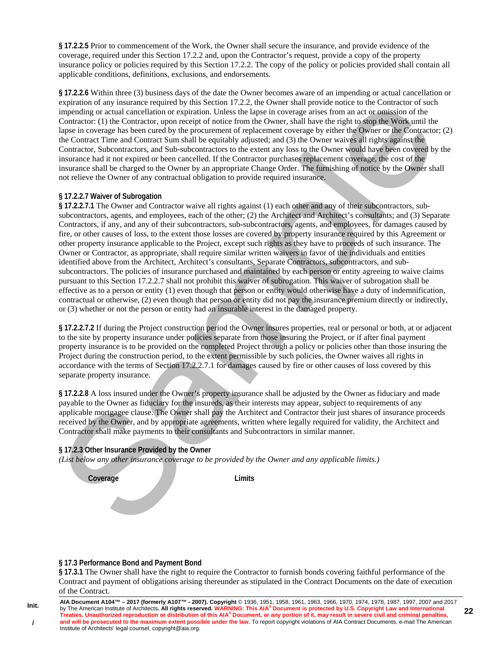**§ 17.2.2.5** Prior to commencement of the Work, the Owner shall secure the insurance, and provide evidence of the coverage, required under this Section 17.2.2 and, upon the Contractor's request, provide a copy of the property insurance policy or policies required by this Section 17.2.2. The copy of the policy or policies provided shall contain all applicable conditions, definitions, exclusions, and endorsements.

**§ 17.2.2.6** Within three (3) business days of the date the Owner becomes aware of an impending or actual cancellation or expiration of any insurance required by this Section 17.2.2, the Owner shall provide notice to the Contractor of such impending or actual cancellation or expiration. Unless the lapse in coverage arises from an act or omission of the Contractor: (1) the Contractor, upon receipt of notice from the Owner, shall have the right to stop the Work until the lapse in coverage has been cured by the procurement of replacement coverage by either the Owner or the Contractor; (2) the Contract Time and Contract Sum shall be equitably adjusted; and (3) the Owner waives all rights against the Contractor, Subcontractors, and Sub-subcontractors to the extent any loss to the Owner would have been covered by the insurance had it not expired or been cancelled. If the Contractor purchases replacement coverage, the cost of the insurance shall be charged to the Owner by an appropriate Change Order. The furnishing of notice by the Owner shall not relieve the Owner of any contractual obligation to provide required insurance.

# **§ 17.2.2.7 Waiver of Subrogation**

**§ 17.2.2.7.1** The Owner and Contractor waive all rights against (1) each other and any of their subcontractors, subsubcontractors, agents, and employees, each of the other; (2) the Architect and Architect's consultants; and (3) Separate Contractors, if any, and any of their subcontractors, sub-subcontractors, agents, and employees, for damages caused by fire, or other causes of loss, to the extent those losses are covered by property insurance required by this Agreement or other property insurance applicable to the Project, except such rights as they have to proceeds of such insurance. The Owner or Contractor, as appropriate, shall require similar written waivers in favor of the individuals and entities identified above from the Architect, Architect's consultants, Separate Contractors, subcontractors, and subsubcontractors. The policies of insurance purchased and maintained by each person or entity agreeing to waive claims pursuant to this Section 17.2.2.7 shall not prohibit this waiver of subrogation. This waiver of subrogation shall be effective as to a person or entity (1) even though that person or entity would otherwise have a duty of indemnification, contractual or otherwise, (2) even though that person or entity did not pay the insurance premium directly or indirectly, or (3) whether or not the person or entity had an insurable interest in the damaged property.

**§ 17.2.2.7.2** If during the Project construction period the Owner insures properties, real or personal or both, at or adjacent to the site by property insurance under policies separate from those insuring the Project, or if after final payment property insurance is to be provided on the completed Project through a policy or policies other than those insuring the Project during the construction period, to the extent permissible by such policies, the Owner waives all rights in accordance with the terms of Section 17.2.2.7.1 for damages caused by fire or other causes of loss covered by this separate property insurance.

**§ 17.2.2.8** A loss insured under the Owner's property insurance shall be adjusted by the Owner as fiduciary and made payable to the Owner as fiduciary for the insureds, as their interests may appear, subject to requirements of any applicable mortgagee clause. The Owner shall pay the Architect and Contractor their just shares of insurance proceeds received by the Owner, and by appropriate agreements, written where legally required for validity, the Architect and Contractor shall make payments to their consultants and Subcontractors in similar manner.

|  |  | § 17.2.3 Other Insurance Provided by the Owner |  |                                                                                                  |  |
|--|--|------------------------------------------------|--|--------------------------------------------------------------------------------------------------|--|
|  |  |                                                |  | (List below any other insurance coverage to be provided by the Owner and any applicable limits.) |  |
|  |  |                                                |  |                                                                                                  |  |

**Coverage Limits**

# **§ 17.3 Performance Bond and Payment Bond**

**§ 17.3.1** The Owner shall have the right to require the Contractor to furnish bonds covering faithful performance of the Contract and payment of obligations arising thereunder as stipulated in the Contract Documents on the date of execution of the Contract.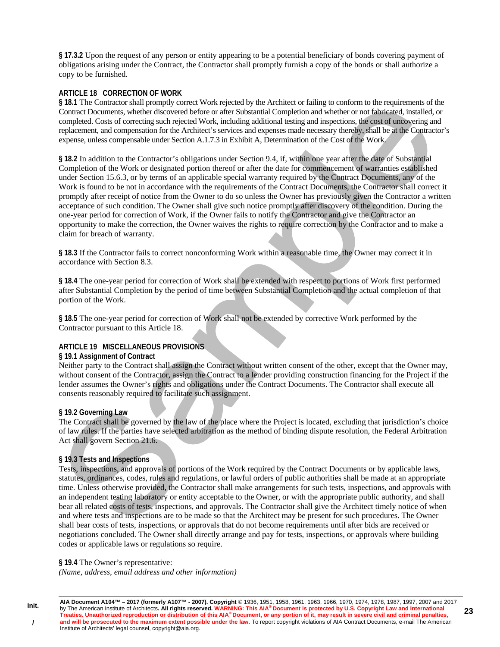**§ 17.3.2** Upon the request of any person or entity appearing to be a potential beneficiary of bonds covering payment of obligations arising under the Contract, the Contractor shall promptly furnish a copy of the bonds or shall authorize a copy to be furnished.

# **ARTICLE 18 CORRECTION OF WORK**

**§ 18.1** The Contractor shall promptly correct Work rejected by the Architect or failing to conform to the requirements of the Contract Documents, whether discovered before or after Substantial Completion and whether or not fabricated, installed, or completed. Costs of correcting such rejected Work, including additional testing and inspections, the cost of uncovering and replacement, and compensation for the Architect's services and expenses made necessary thereby, shall be at the Contractor's expense, unless compensable under Section A.1.7.3 in Exhibit A, Determination of the Cost of the Work.

**§ 18.2** In addition to the Contractor's obligations under Section 9.4, if, within one year after the date of Substantial Completion of the Work or designated portion thereof or after the date for commencement of warranties established under Section 15.6.3, or by terms of an applicable special warranty required by the Contract Documents, any of the Work is found to be not in accordance with the requirements of the Contract Documents, the Contractor shall correct it promptly after receipt of notice from the Owner to do so unless the Owner has previously given the Contractor a written acceptance of such condition. The Owner shall give such notice promptly after discovery of the condition. During the one-year period for correction of Work, if the Owner fails to notify the Contractor and give the Contractor an opportunity to make the correction, the Owner waives the rights to require correction by the Contractor and to make a claim for breach of warranty.

**§ 18.3** If the Contractor fails to correct nonconforming Work within a reasonable time, the Owner may correct it in accordance with Section 8.3.

**§ 18.4** The one-year period for correction of Work shall be extended with respect to portions of Work first performed after Substantial Completion by the period of time between Substantial Completion and the actual completion of that portion of the Work.

**§ 18.5** The one-year period for correction of Work shall not be extended by corrective Work performed by the Contractor pursuant to this Article 18.

# **ARTICLE 19 MISCELLANEOUS PROVISIONS**

#### **§ 19.1 Assignment of Contract**

Neither party to the Contract shall assign the Contract without written consent of the other, except that the Owner may, without consent of the Contractor, assign the Contract to a lender providing construction financing for the Project if the lender assumes the Owner's rights and obligations under the Contract Documents. The Contractor shall execute all consents reasonably required to facilitate such assignment.

# **§ 19.2 Governing Law**

The Contract shall be governed by the law of the place where the Project is located, excluding that jurisdiction's choice of law rules. If the parties have selected arbitration as the method of binding dispute resolution, the Federal Arbitration Act shall govern Section 21.6.

# **§ 19.3 Tests and Inspections**

Tests, inspections, and approvals of portions of the Work required by the Contract Documents or by applicable laws, statutes, ordinances, codes, rules and regulations, or lawful orders of public authorities shall be made at an appropriate time. Unless otherwise provided, the Contractor shall make arrangements for such tests, inspections, and approvals with an independent testing laboratory or entity acceptable to the Owner, or with the appropriate public authority, and shall bear all related costs of tests, inspections, and approvals. The Contractor shall give the Architect timely notice of when and where tests and inspections are to be made so that the Architect may be present for such procedures. The Owner shall bear costs of tests, inspections, or approvals that do not become requirements until after bids are received or negotiations concluded. The Owner shall directly arrange and pay for tests, inspections, or approvals where building codes or applicable laws or regulations so require.

#### **§ 19.4** The Owner's representative:

*(Name, address, email address and other information)*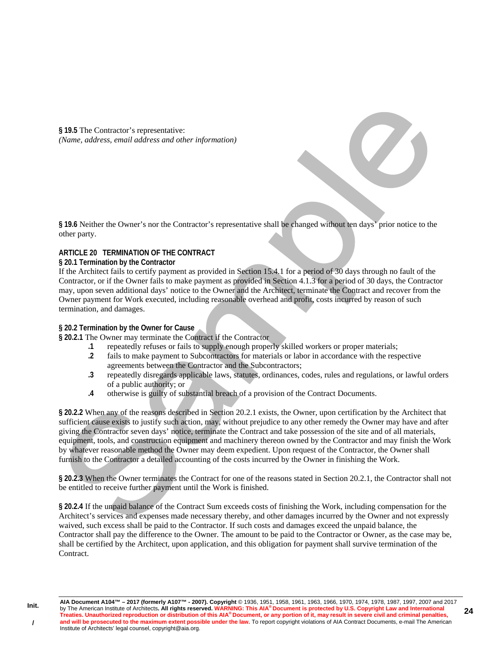**§ 19.5** The Contractor's representative: *(Name, address, email address and other information)* 

**§ 19.6** Neither the Owner's nor the Contractor's representative shall be changed without ten days' prior notice to the other party.

# **ARTICLE 20 TERMINATION OF THE CONTRACT**

#### **§ 20.1 Termination by the Contractor**

If the Architect fails to certify payment as provided in Section 15.4.1 for a period of 30 days through no fault of the Contractor, or if the Owner fails to make payment as provided in Section 4.1.3 for a period of 30 days, the Contractor may, upon seven additional days' notice to the Owner and the Architect, terminate the Contract and recover from the Owner payment for Work executed, including reasonable overhead and profit, costs incurred by reason of such termination, and damages.

# **§ 20.2 Termination by the Owner for Cause**

- § 20.2.1 The Owner may terminate the Contract if the Contractor
	- **.1** repeatedly refuses or fails to supply enough properly skilled workers or proper materials;
	- **.2** fails to make payment to Subcontractors for materials or labor in accordance with the respective agreements between the Contractor and the Subcontractors;
	- **.3** repeatedly disregards applicable laws, statutes, ordinances, codes, rules and regulations, or lawful orders of a public authority; or
	- **.4** otherwise is guilty of substantial breach of a provision of the Contract Documents.

**§ 20.2.2** When any of the reasons described in Section 20.2.1 exists, the Owner, upon certification by the Architect that sufficient cause exists to justify such action, may, without prejudice to any other remedy the Owner may have and after giving the Contractor seven days' notice, terminate the Contract and take possession of the site and of all materials, equipment, tools, and construction equipment and machinery thereon owned by the Contractor and may finish the Work by whatever reasonable method the Owner may deem expedient. Upon request of the Contractor, the Owner shall furnish to the Contractor a detailed accounting of the costs incurred by the Owner in finishing the Work.

**§ 20.2.3** When the Owner terminates the Contract for one of the reasons stated in Section 20.2.1, the Contractor shall not be entitled to receive further payment until the Work is finished.

**§ 20.2.4** If the unpaid balance of the Contract Sum exceeds costs of finishing the Work, including compensation for the Architect's services and expenses made necessary thereby, and other damages incurred by the Owner and not expressly waived, such excess shall be paid to the Contractor. If such costs and damages exceed the unpaid balance, the Contractor shall pay the difference to the Owner. The amount to be paid to the Contractor or Owner, as the case may be, shall be certified by the Architect, upon application, and this obligation for payment shall survive termination of the Contract.

**/**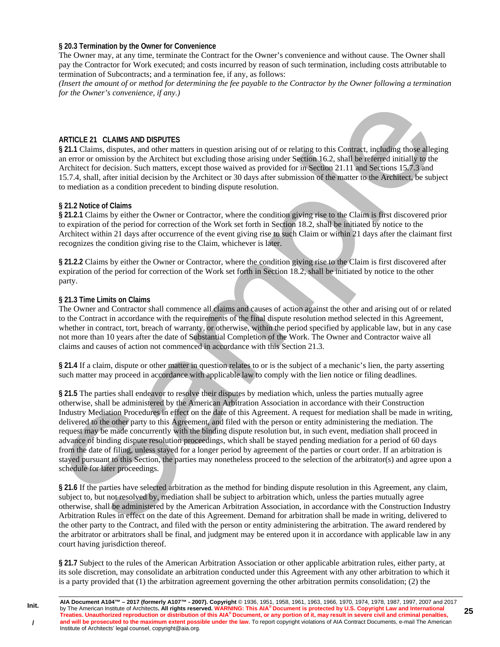#### **§ 20.3 Termination by the Owner for Convenience**

The Owner may, at any time, terminate the Contract for the Owner's convenience and without cause. The Owner shall pay the Contractor for Work executed; and costs incurred by reason of such termination, including costs attributable to termination of Subcontracts; and a termination fee, if any, as follows:

*(Insert the amount of or method for determining the fee payable to the Contractor by the Owner following a termination for the Owner's convenience, if any.)* 

# **ARTICLE 21 CLAIMS AND DISPUTES**

**§ 21.1** Claims, disputes, and other matters in question arising out of or relating to this Contract, including those alleging an error or omission by the Architect but excluding those arising under Section 16.2, shall be referred initially to the Architect for decision. Such matters, except those waived as provided for in Section 21.11 and Sections 15.7.3 and 15.7.4, shall, after initial decision by the Architect or 30 days after submission of the matter to the Architect, be subject to mediation as a condition precedent to binding dispute resolution.

# **§ 21.2 Notice of Claims**

**§ 21.2.1** Claims by either the Owner or Contractor, where the condition giving rise to the Claim is first discovered prior to expiration of the period for correction of the Work set forth in Section 18.2, shall be initiated by notice to the Architect within 21 days after occurrence of the event giving rise to such Claim or within 21 days after the claimant first recognizes the condition giving rise to the Claim, whichever is later.

**§ 21.2.2** Claims by either the Owner or Contractor, where the condition giving rise to the Claim is first discovered after expiration of the period for correction of the Work set forth in Section 18.2, shall be initiated by notice to the other party.

#### **§ 21.3 Time Limits on Claims**

The Owner and Contractor shall commence all claims and causes of action against the other and arising out of or related to the Contract in accordance with the requirements of the final dispute resolution method selected in this Agreement, whether in contract, tort, breach of warranty, or otherwise, within the period specified by applicable law, but in any case not more than 10 years after the date of Substantial Completion of the Work. The Owner and Contractor waive all claims and causes of action not commenced in accordance with this Section 21.3.

**§ 21.4** If a claim, dispute or other matter in question relates to or is the subject of a mechanic's lien, the party asserting such matter may proceed in accordance with applicable law to comply with the lien notice or filing deadlines.

**§ 21.5** The parties shall endeavor to resolve their disputes by mediation which, unless the parties mutually agree otherwise, shall be administered by the American Arbitration Association in accordance with their Construction Industry Mediation Procedures in effect on the date of this Agreement. A request for mediation shall be made in writing, delivered to the other party to this Agreement, and filed with the person or entity administering the mediation. The request may be made concurrently with the binding dispute resolution but, in such event, mediation shall proceed in advance of binding dispute resolution proceedings, which shall be stayed pending mediation for a period of 60 days from the date of filing, unless stayed for a longer period by agreement of the parties or court order. If an arbitration is stayed pursuant to this Section, the parties may nonetheless proceed to the selection of the arbitrator(s) and agree upon a schedule for later proceedings.

**§ 21.6** If the parties have selected arbitration as the method for binding dispute resolution in this Agreement, any claim, subject to, but not resolved by, mediation shall be subject to arbitration which, unless the parties mutually agree otherwise, shall be administered by the American Arbitration Association, in accordance with the Construction Industry Arbitration Rules in effect on the date of this Agreement. Demand for arbitration shall be made in writing, delivered to the other party to the Contract, and filed with the person or entity administering the arbitration. The award rendered by the arbitrator or arbitrators shall be final, and judgment may be entered upon it in accordance with applicable law in any court having jurisdiction thereof.

**§ 21.7** Subject to the rules of the American Arbitration Association or other applicable arbitration rules, either party, at its sole discretion, may consolidate an arbitration conducted under this Agreement with any other arbitration to which it is a party provided that (1) the arbitration agreement governing the other arbitration permits consolidation; (2) the